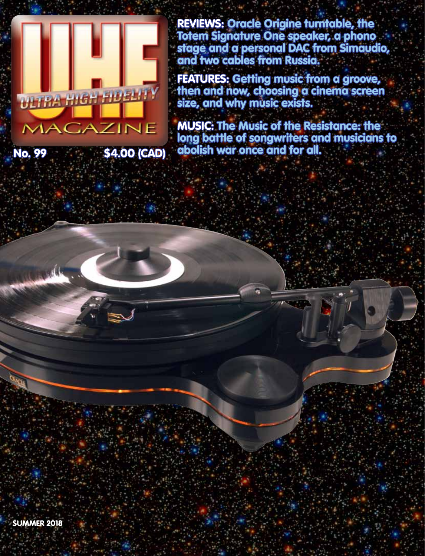REVIEWS: Oracle Origine turntable, the Totem Signature One speaker, a phono stage and a personal DAC from Simaudio, and two cables from Russia.

FEATURES: Getting music from a groove, then and now, choosing a cinema screen size, and why music exists.

MUSIC: The Music of the Resistance: the long battle of songwriters and musicians to No. 99 \$4.00 (CAD) abolish war once and for all.



ULTRA HIGH HU BLITY

MACAZINE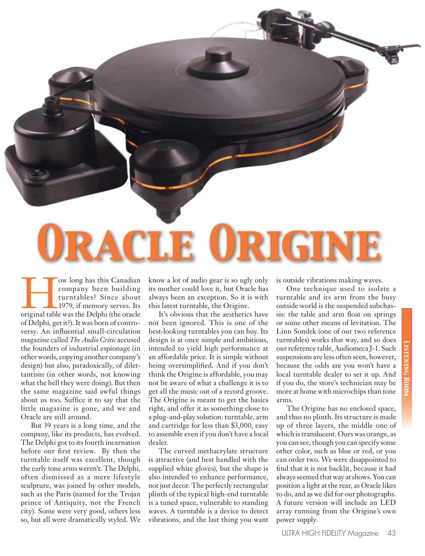

The Company been building<br>
turntables? Since about<br>
1979, if memory serves. Its<br>
original table was the Delphi (the oracle company been building turntables? Since about 1979, if memory serves. Its of Delphi, get it?). It was born of controversy. An influential small-circulation magazine called *The Audio Critic* accused the founders of industrial espionage (in other words, copying another company's design) but also, paradoxically, of dilettantism (in other words, not knowing what the hell they were doing). But then the same magazine said awful things about us too. Suffice it to say that the little magazine is gone, and we and Oracle are still around.

 But 39 years is a long time, and the company, like its products, has evolved. The Delphi got to its fourth incarnation before our first review. By then the turntable itself was excellent, though the early tone arms weren't. The Delphi, often dismissed as a mere lifestyle sculpture, was joined by other models, such as the Paris (named for the Trojan prince of Antiquity, not the French city). Some were very good, others less so, but all were dramatically styled. We

know a lot of audio gear is so ugly only its mother could love it, but Oracle has always been an exception. So it is with this latest turntable, the Origine.

 It's obvious that the aesthetics have not been ignored. This is one of the best-looking turntables you can buy. Its design is at once simple and ambitious, intended to yield high performance at an affordable price. It is simple without being oversimplified. And if you don't think the Origine is affordable, you may not be aware of what a challenge it is to get all the music out of a record groove. The Origine is meant to get the basics right, and offer it as something close to a plug-and-play solution: turntable, arm and cartridge for less than \$3,000, easy to assemble even if you don't have a local dealer.

 The curved methacrylate structure is attractive (and best handled with the supplied white gloves), but the shape is also intended to enhance performance, not just decor. The perfectly rectangular plinth of the typical high-end turntable is a tuned space, vulnerable to standing waves. A turntable is a device to detect vibrations, and the last thing you want

is outside vibrations making waves.

 One technique used to isolate a turntable and its arm from the busy outside world is the suspended subchassis: the table and arm float on springs or some other means of levitation. The Linn Sondek (one of our two reference turntables) works that way, and so does our reference table, Audiomeca J-1. Such suspensions are less often seen, however, because the odds are you won't have a local turntable dealer to set it up. And if you do, the store's technician may be more at home with microchips than tone arms.

 The Origine has no enclosed space, and thus no plinth. Its structure is made up of three layers, the middle one of which is translucent. Ours was orange, as you can see, though you can specify some other color, such as blue or red, or you can order two. We were disappointed to find that it is not backlit, because it had always seemed that way at shows. You can position a light at the rear, as Oracle likes to do, and as we did for our photographs. A future version will include an LED array running from the Origine's own power supply.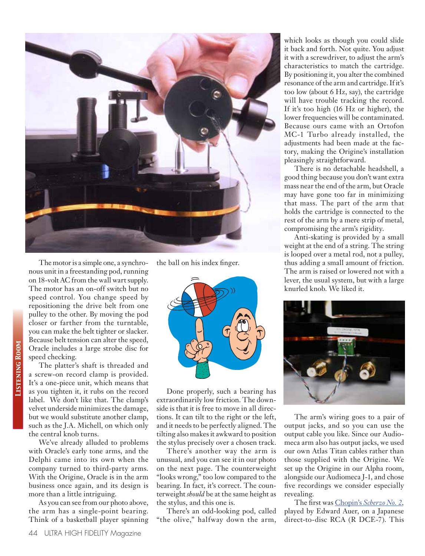

 The motor is a simple one, a synchronous unit in a freestanding pod, running on 18-volt AC from the wall wart supply. The motor has an on-off switch but no speed control. You change speed by repositioning the drive belt from one pulley to the other. By moving the pod closer or farther from the turntable, you can make the belt tighter or slacker. Because belt tension can alter the speed, Oracle includes a large strobe disc for speed checking.

 The platter's shaft is threaded and a screw-on record clamp is provided. It's a one-piece unit, which means that as you tighten it, it rubs on the record label. We don't like that. The clamp's velvet underside minimizes the damage, but we would substitute another clamp, such as the J.A. Michell, on which only the central knob turns.

 We've already alluded to problems with Oracle's early tone arms, and the Delphi came into its own when the company turned to third-party arms. With the Origine, Oracle is in the arm business once again, and its design is more than a little intriguing.

 As you can see from our photo above, the arm has a single-point bearing. Think of a basketball player spinning the ball on his index finger.



 Done properly, such a bearing has extraordinarily low friction. The downside is that it is free to move in all directions. It can tilt to the right or the left, and it needs to be perfectly aligned. The tilting also makes it awkward to position the stylus precisely over a chosen track.

 There's another way the arm is unusual, and you can see it in our photo on the next page. The counterweight "looks wrong," too low compared to the bearing. In fact, it's correct. The counterweight *should* be at the same height as the stylus, and this one is.

 There's an odd-looking pod, called "the olive," halfway down the arm,

which looks as though you could slide it back and forth. Not quite. You adjust it with a screwdriver, to adjust the arm's characteristics to match the cartridge. By positioning it, you alter the combined resonance of the arm and cartridge. If it's too low (about 6 Hz, say), the cartridge will have trouble tracking the record. If it's too high (16 Hz or higher), the lower frequencies will be contaminated. Because ours came with an Ortofon MC-1 Turbo already installed, the adjustments had been made at the factory, making the Origine's installation pleasingly straightforward.

 There is no detachable headshell, a good thing because you don't want extra mass near the end of the arm, but Oracle may have gone too far in minimizing that mass. The part of the arm that holds the cartridge is connected to the rest of the arm by a mere strip of metal, compromising the arm's rigidity.

 Anti-skating is provided by a small weight at the end of a string. The string is looped over a metal rod, not a pulley, thus adding a small amount of friction. The arm is raised or lowered not with a lever, the usual system, but with a large knurled knob. We liked it.



 The arm's wiring goes to a pair of output jacks, and so you can use the output cable you like. Since our Audiomeca arm also has output jacks, we used our own Atlas Titan cables rather than those supplied with the Origine. We set up the Origine in our Alpha room, alongside our Audiomeca J-1, and chose five recordings we consider especially revealing.

 The first was Chopin's *[Scherzo No.](http://www.uhfmag.com/music-clips/edward-auser.mp3) 2,*  played by Edward Auer, on a Japanese direct-to-disc RCA (R DCE-7). This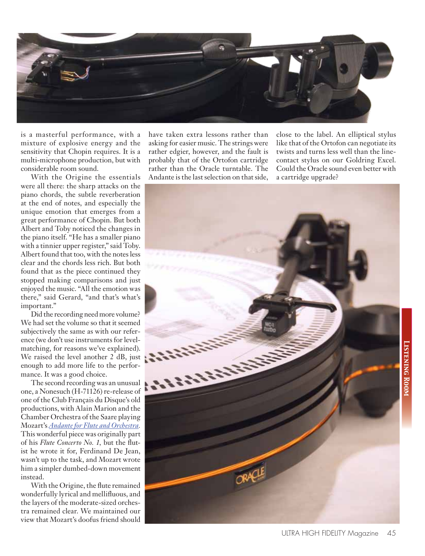

is a masterful performance, with a mixture of explosive energy and the sensitivity that Chopin requires. It is a multi-microphone production, but with considerable room sound.

 With the Origine the essentials were all there: the sharp attacks on the piano chords, the subtle reverberation at the end of notes, and especially the unique emotion that emerges from a great performance of Chopin. But both Albert and Toby noticed the changes in the piano itself. "He has a smaller piano with a tinnier upper register," said Toby. Albert found that too, with the notes less clear and the chords less rich. But both found that as the piece continued they stopped making comparisons and just enjoyed the music. "All the emotion was there," said Gerard, "and that's what's important."

 Did the recording need more volume? We had set the volume so that it seemed subjectively the same as with our reference (we don't use instruments for levelmatching, for reasons we've explained). We raised the level another 2 dB, just enough to add more life to the performance. It was a good choice.

 The second recording was an unusual one, a Nonesuch (H-71126) re-release of one of the Club Français du Disque's old productions, with Alain Marion and the Chamber Orchestra of the Saare playing Mozart's *[Andante for Flute and Orchestra](http://www.uhfmag.com/music-clips/mozart-andante.mp3).*  This wonderful piece was originally part of his *Flute Concerto No. 1,* but the flutist he wrote it for, Ferdinand De Jean, wasn't up to the task, and Mozart wrote him a simpler dumbed-down movement instead.

 With the Origine, the flute remained wonderfully lyrical and mellifluous, and the layers of the moderate-sized orchestra remained clear. We maintained our view that Mozart's doofus friend should have taken extra lessons rather than asking for easier music. The strings were rather edgier, however, and the fault is probably that of the Ortofon cartridge rather than the Oracle turntable. The Andante is the last selection on that side, close to the label. An elliptical stylus like that of the Ortofon can negotiate its twists and turns less well than the linecontact stylus on our Goldring Excel. Could the Oracle sound even better with a cartridge upgrade?